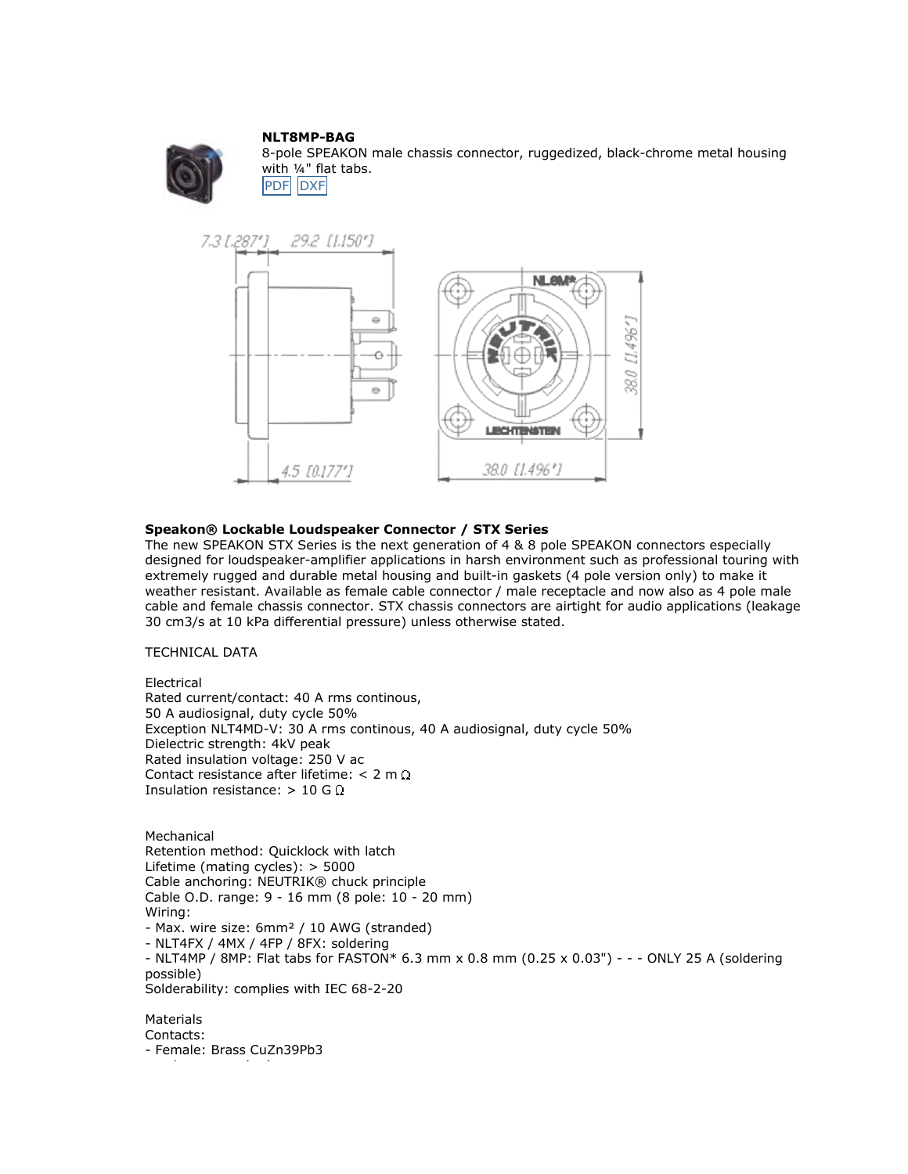## **NLT8MP-BAG**



8-pole SPEAKON male chassis connector, ruggedized, black-chrome metal housing with ¼" flat tabs. **P[DF](http://www.neutrik.com/images/ock/products/downloads/210_182208589.pdf)** [DXF](http://www.neutrik.com/images/ock/products/downloads/210_182208589.dxf)



## **Speakon® Lockable Loudspeaker Connector / STX Series**

The new SPEAKON STX Series is the next generation of 4 & 8 pole SPEAKON connectors especially designed for loudspeaker-amplifier applications in harsh environment such as professional touring with extremely rugged and durable metal housing and built-in gaskets (4 pole version only) to make it weather resistant. Available as female cable connector / male receptacle and now also as 4 pole male cable and female chassis connector. STX chassis connectors are airtight for audio applications (leakage 30 cm3/s at 10 kPa differential pressure) unless otherwise stated.

## TECHNICAL DATA

Electrical Rated current/contact: 40 A rms continous, 50 A audiosignal, duty cycle 50% Exception NLT4MD-V: 30 A rms continous, 40 A audiosignal, duty cycle 50% Dielectric strength: 4kV peak Rated insulation voltage: 250 V ac Contact resistance after lifetime:  $< 2$  m  $\Omega$ Insulation resistance:  $> 10$  G  $\Omega$ 

**Mechanical** Retention method: Quicklock with latch Lifetime (mating cycles): > 5000 Cable anchoring: NEUTRIK® chuck principle Cable O.D. range: 9 - 16 mm (8 pole: 10 - 20 mm) Wiring: - Max. wire size: 6mm² / 10 AWG (stranded) - NLT4FX / 4MX / 4FP / 8FX: soldering - NLT4MP / 8MP: Flat tabs for FASTON\* 6.3 mm x 0.8 mm (0.25 x 0.03") - - - ONLY 25 A (soldering possible) Solderability: complies with IEC 68-2-20

Materials Contacts: - Female: Brass CuZn39Pb3

l ( )